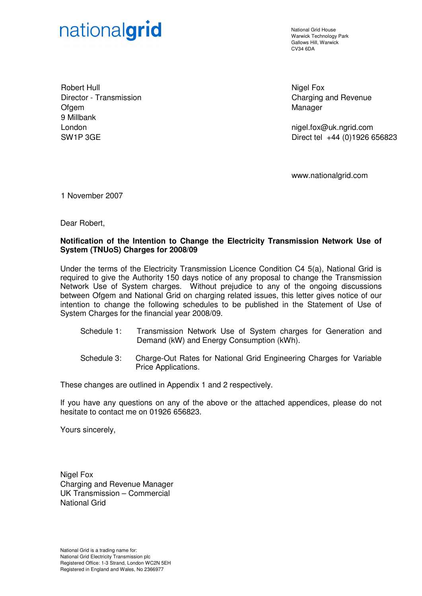# nationalgrid

National Grid House Warwick Technology Park Gallows Hill, Warwick  $C<sub>1</sub>1/34$  6DA

Robert Hull Director - Transmission Ofgem 9 Millbank London SW1P 3GE

Nigel Fox Charging and Revenue Manager

nigel.fox@uk.ngrid.com Direct tel +44 (0)1926 656823

www.nationalgrid.com

1 November 2007

Dear Robert,

### **Notification of the Intention to Change the Electricity Transmission Network Use of System (TNUoS) Charges for 2008/09**

Under the terms of the Electricity Transmission Licence Condition C4 5(a), National Grid is required to give the Authority 150 days notice of any proposal to change the Transmission Network Use of System charges. Without prejudice to any of the ongoing discussions between Ofgem and National Grid on charging related issues, this letter gives notice of our intention to change the following schedules to be published in the Statement of Use of System Charges for the financial year 2008/09.

- Schedule 1: Transmission Network Use of System charges for Generation and Demand (kW) and Energy Consumption (kWh).
- Schedule 3: Charge-Out Rates for National Grid Engineering Charges for Variable Price Applications.

These changes are outlined in Appendix 1 and 2 respectively.

If you have any questions on any of the above or the attached appendices, please do not hesitate to contact me on 01926 656823.

Yours sincerely,

Nigel Fox Charging and Revenue Manager UK Transmission – Commercial National Grid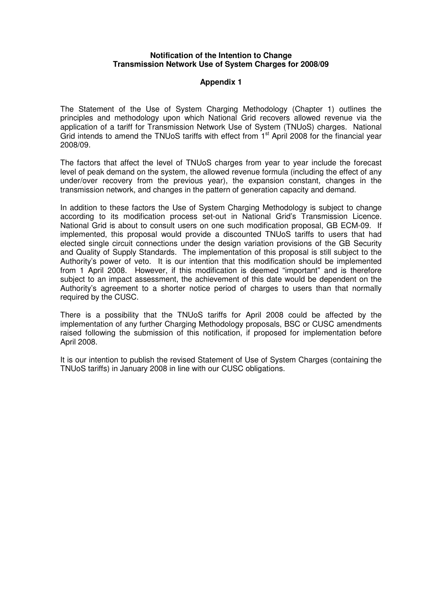#### **Notification of the Intention to Change Transmission Network Use of System Charges for 2008/09**

#### **Appendix 1**

The Statement of the Use of System Charging Methodology (Chapter 1) outlines the principles and methodology upon which National Grid recovers allowed revenue via the application of a tariff for Transmission Network Use of System (TNUoS) charges. National Grid intends to amend the TNUoS tariffs with effect from 1<sup>st</sup> April 2008 for the financial year 2008/09.

The factors that affect the level of TNUoS charges from year to year include the forecast level of peak demand on the system, the allowed revenue formula (including the effect of any under/over recovery from the previous year), the expansion constant, changes in the transmission network, and changes in the pattern of generation capacity and demand.

In addition to these factors the Use of System Charging Methodology is subject to change according to its modification process set-out in National Grid's Transmission Licence. National Grid is about to consult users on one such modification proposal, GB ECM-09. If implemented, this proposal would provide a discounted TNUoS tariffs to users that had elected single circuit connections under the design variation provisions of the GB Security and Quality of Supply Standards. The implementation of this proposal is still subject to the Authority's power of veto. It is our intention that this modification should be implemented from 1 April 2008. However, if this modification is deemed "important" and is therefore subject to an impact assessment, the achievement of this date would be dependent on the Authority's agreement to a shorter notice period of charges to users than that normally required by the CUSC.

There is a possibility that the TNUoS tariffs for April 2008 could be affected by the implementation of any further Charging Methodology proposals, BSC or CUSC amendments raised following the submission of this notification, if proposed for implementation before April 2008.

It is our intention to publish the revised Statement of Use of System Charges (containing the TNUoS tariffs) in January 2008 in line with our CUSC obligations.